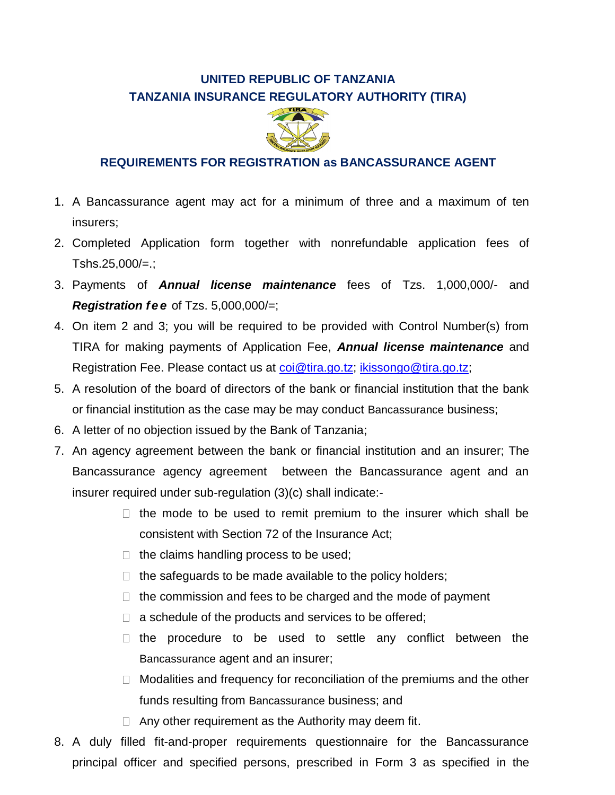## **UNITED REPUBLIC OF TANZANIA TANZANIA INSURANCE REGULATORY AUTHORITY (TIRA)**



## **REQUIREMENTS FOR REGISTRATION as BANCASSURANCE AGENT**

- 1. A Bancassurance agent may act for a minimum of three and a maximum of ten insurers;
- 2. Completed Application form together with nonrefundable application fees of  $Tshs.25,000/=$ .;
- 3. Payments of *Annual license maintenance* fees of Tzs. 1,000,000/- and *Registration fe e* of Tzs. 5,000,000/=;
- 4. On item 2 and 3; you will be required to be provided with Control Number(s) from TIRA for making payments of Application Fee, *Annual license maintenance* and Registration Fee. Please contact us at [coi@tira.go.tz;](mailto:coi@tira.go.tz) [ikissongo@tira.go.tz;](mailto:ikissongo@tira.go.tz)
- 5. A resolution of the board of directors of the bank or financial institution that the bank or financial institution as the case may be may conduct Bancassurance business;
- 6. A letter of no objection issued by the Bank of Tanzania;
- 7. An agency agreement between the bank or financial institution and an insurer; The Bancassurance agency agreement between the Bancassurance agent and an insurer required under sub-regulation (3)(c) shall indicate:-
	- $\Box$  the mode to be used to remit premium to the insurer which shall be consistent with Section 72 of the Insurance Act;
	- $\Box$  the claims handling process to be used;
	- $\Box$  the safeguards to be made available to the policy holders;
	- $\Box$  the commission and fees to be charged and the mode of payment
	- $\Box$  a schedule of the products and services to be offered;
	- $\Box$  the procedure to be used to settle any conflict between the Bancassurance agent and an insurer;
	- $\Box$  Modalities and frequency for reconciliation of the premiums and the other funds resulting from Bancassurance business; and
	- $\Box$  Any other requirement as the Authority may deem fit.
- 8. A duly filled fit-and-proper requirements questionnaire for the Bancassurance principal officer and specified persons, prescribed in Form 3 as specified in the